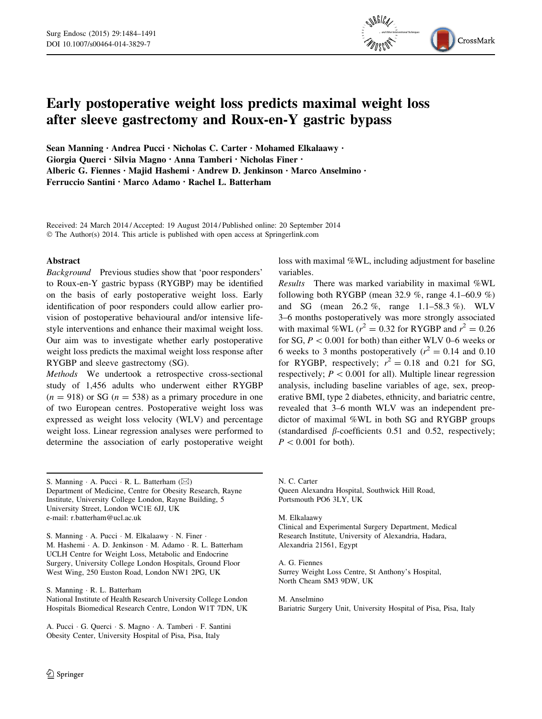

# Early postoperative weight loss predicts maximal weight loss after sleeve gastrectomy and Roux-en-Y gastric bypass

Sean Manning • Andrea Pucci • Nicholas C. Carter • Mohamed Elkalaawy • Giorgia Querci • Silvia Magno • Anna Tamberi • Nicholas Finer • Alberic G. Fiennes • Majid Hashemi • Andrew D. Jenkinson • Marco Anselmino • Ferruccio Santini • Marco Adamo • Rachel L. Batterham

Received: 24 March 2014 / Accepted: 19 August 2014 / Published online: 20 September 2014 © The Author(s) 2014. This article is published with open access at Springerlink.com

# Abstract

Background Previous studies show that 'poor responders' to Roux-en-Y gastric bypass (RYGBP) may be identified on the basis of early postoperative weight loss. Early identification of poor responders could allow earlier provision of postoperative behavioural and/or intensive lifestyle interventions and enhance their maximal weight loss. Our aim was to investigate whether early postoperative weight loss predicts the maximal weight loss response after RYGBP and sleeve gastrectomy (SG).

Methods We undertook a retrospective cross-sectional study of 1,456 adults who underwent either RYGBP  $(n = 918)$  or SG  $(n = 538)$  as a primary procedure in one of two European centres. Postoperative weight loss was expressed as weight loss velocity (WLV) and percentage weight loss. Linear regression analyses were performed to determine the association of early postoperative weight

S. Manning · A. Pucci · R. L. Batterham (⊠) Department of Medicine, Centre for Obesity Research, Rayne Institute, University College London, Rayne Building, 5 University Street, London WC1E 6JJ, UK e-mail: r.batterham@ucl.ac.uk

S. Manning · A. Pucci · M. Elkalaawy · N. Finer · M. Hashemi - A. D. Jenkinson - M. Adamo - R. L. Batterham UCLH Centre for Weight Loss, Metabolic and Endocrine Surgery, University College London Hospitals, Ground Floor West Wing, 250 Euston Road, London NW1 2PG, UK

S. Manning - R. L. Batterham

National Institute of Health Research University College London Hospitals Biomedical Research Centre, London W1T 7DN, UK

A. Pucci - G. Querci - S. Magno - A. Tamberi - F. Santini Obesity Center, University Hospital of Pisa, Pisa, Italy

loss with maximal %WL, including adjustment for baseline variables.

Results There was marked variability in maximal %WL following both RYGBP (mean 32.9 %, range  $4.1-60.9$  %) and SG (mean 26.2 %, range 1.1–58.3 %). WLV 3–6 months postoperatively was more strongly associated with maximal %WL ( $r^2 = 0.32$  for RYGBP and  $r^2 = 0.26$ for SG,  $P < 0.001$  for both) than either WLV 0–6 weeks or 6 weeks to 3 months postoperatively ( $r^2 = 0.14$  and 0.10 for RYGBP, respectively;  $r^2 = 0.18$  and 0.21 for SG, respectively;  $P < 0.001$  for all). Multiple linear regression analysis, including baseline variables of age, sex, preoperative BMI, type 2 diabetes, ethnicity, and bariatric centre, revealed that 3–6 month WLV was an independent predictor of maximal %WL in both SG and RYGBP groups (standardised  $\beta$ -coefficients 0.51 and 0.52, respectively;  $P<0.001$  for both).

N. C. Carter Queen Alexandra Hospital, Southwick Hill Road, Portsmouth PO6 3LY, UK

M. Elkalaawy

Clinical and Experimental Surgery Department, Medical Research Institute, University of Alexandria, Hadara, Alexandria 21561, Egypt

A. G. Fiennes Surrey Weight Loss Centre, St Anthony's Hospital, North Cheam SM3 9DW, UK

M. Anselmino Bariatric Surgery Unit, University Hospital of Pisa, Pisa, Italy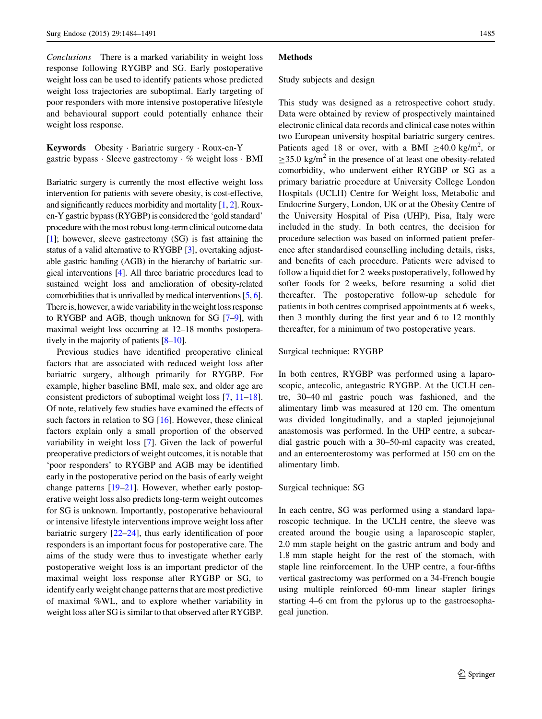Conclusions There is a marked variability in weight loss response following RYGBP and SG. Early postoperative weight loss can be used to identify patients whose predicted weight loss trajectories are suboptimal. Early targeting of poor responders with more intensive postoperative lifestyle and behavioural support could potentially enhance their weight loss response.

Keywords Obesity - Bariatric surgery - Roux-en-Y gastric bypass - Sleeve gastrectomy - % weight loss - BMI

Bariatric surgery is currently the most effective weight loss intervention for patients with severe obesity, is cost-effective, and significantly reduces morbidity and mortality [[1](#page-6-0), [2](#page-6-0)]. Rouxen-Y gastric bypass (RYGBP) is considered the 'gold standard' procedure with the most robust long-term clinical outcome data [\[1\]](#page-6-0); however, sleeve gastrectomy (SG) is fast attaining the status of a valid alternative to RYGBP [\[3](#page-6-0)], overtaking adjustable gastric banding (AGB) in the hierarchy of bariatric surgical interventions [[4](#page-6-0)]. All three bariatric procedures lead to sustained weight loss and amelioration of obesity-related comorbidities that is unrivalled by medical interventions [[5,](#page-6-0) [6](#page-6-0)]. There is, however, a wide variability in the weight loss response to RYGBP and AGB, though unknown for SG [\[7–9](#page-6-0)], with maximal weight loss occurring at 12–18 months postoperatively in the majority of patients [\[8](#page-6-0)[–10\]](#page-7-0).

Previous studies have identified preoperative clinical factors that are associated with reduced weight loss after bariatric surgery, although primarily for RYGBP. For example, higher baseline BMI, male sex, and older age are consistent predictors of suboptimal weight loss [[7,](#page-6-0) [11–18](#page-7-0)]. Of note, relatively few studies have examined the effects of such factors in relation to SG [[16\]](#page-7-0). However, these clinical factors explain only a small proportion of the observed variability in weight loss [\[7](#page-6-0)]. Given the lack of powerful preoperative predictors of weight outcomes, it is notable that 'poor responders' to RYGBP and AGB may be identified early in the postoperative period on the basis of early weight change patterns  $[19-21]$ . However, whether early postoperative weight loss also predicts long-term weight outcomes for SG is unknown. Importantly, postoperative behavioural or intensive lifestyle interventions improve weight loss after bariatric surgery [[22–24\]](#page-7-0), thus early identification of poor responders is an important focus for postoperative care. The aims of the study were thus to investigate whether early postoperative weight loss is an important predictor of the maximal weight loss response after RYGBP or SG, to identify early weight change patterns that are most predictive of maximal %WL, and to explore whether variability in weight loss after SG is similar to that observed after RYGBP.

## **Methods**

### Study subjects and design

This study was designed as a retrospective cohort study. Data were obtained by review of prospectively maintained electronic clinical data records and clinical case notes within two European university hospital bariatric surgery centres. Patients aged 18 or over, with a BMI  $\geq$ 40.0 kg/m<sup>2</sup>, or  $\geq$ 35.0 kg/m<sup>2</sup> in the presence of at least one obesity-related comorbidity, who underwent either RYGBP or SG as a primary bariatric procedure at University College London Hospitals (UCLH) Centre for Weight loss, Metabolic and Endocrine Surgery, London, UK or at the Obesity Centre of the University Hospital of Pisa (UHP), Pisa, Italy were included in the study. In both centres, the decision for procedure selection was based on informed patient preference after standardised counselling including details, risks, and benefits of each procedure. Patients were advised to follow a liquid diet for 2 weeks postoperatively, followed by softer foods for 2 weeks, before resuming a solid diet thereafter. The postoperative follow-up schedule for patients in both centres comprised appointments at 6 weeks, then 3 monthly during the first year and 6 to 12 monthly thereafter, for a minimum of two postoperative years.

## Surgical technique: RYGBP

In both centres, RYGBP was performed using a laparoscopic, antecolic, antegastric RYGBP. At the UCLH centre, 30–40 ml gastric pouch was fashioned, and the alimentary limb was measured at 120 cm. The omentum was divided longitudinally, and a stapled jejunojejunal anastomosis was performed. In the UHP centre, a subcardial gastric pouch with a 30–50-ml capacity was created, and an enteroenterostomy was performed at 150 cm on the alimentary limb.

#### Surgical technique: SG

In each centre, SG was performed using a standard laparoscopic technique. In the UCLH centre, the sleeve was created around the bougie using a laparoscopic stapler, 2.0 mm staple height on the gastric antrum and body and 1.8 mm staple height for the rest of the stomach, with staple line reinforcement. In the UHP centre, a four-fifths vertical gastrectomy was performed on a 34-French bougie using multiple reinforced 60-mm linear stapler firings starting 4–6 cm from the pylorus up to the gastroesophageal junction.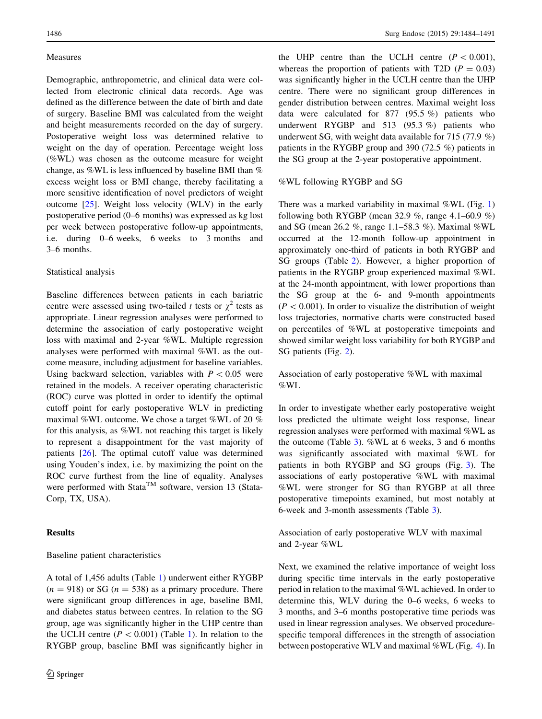## Measures

Demographic, anthropometric, and clinical data were collected from electronic clinical data records. Age was defined as the difference between the date of birth and date of surgery. Baseline BMI was calculated from the weight and height measurements recorded on the day of surgery. Postoperative weight loss was determined relative to weight on the day of operation. Percentage weight loss (%WL) was chosen as the outcome measure for weight change, as %WL is less influenced by baseline BMI than % excess weight loss or BMI change, thereby facilitating a more sensitive identification of novel predictors of weight outcome [[25\]](#page-7-0). Weight loss velocity (WLV) in the early postoperative period (0–6 months) was expressed as kg lost per week between postoperative follow-up appointments, i.e. during 0–6 weeks, 6 weeks to 3 months and 3–6 months.

## Statistical analysis

Baseline differences between patients in each bariatric centre were assessed using two-tailed t tests or  $\chi^2$  tests as appropriate. Linear regression analyses were performed to determine the association of early postoperative weight loss with maximal and 2-year %WL. Multiple regression analyses were performed with maximal %WL as the outcome measure, including adjustment for baseline variables. Using backward selection, variables with  $P < 0.05$  were retained in the models. A receiver operating characteristic (ROC) curve was plotted in order to identify the optimal cutoff point for early postoperative WLV in predicting maximal %WL outcome. We chose a target %WL of 20 % for this analysis, as %WL not reaching this target is likely to represent a disappointment for the vast majority of patients [[26\]](#page-7-0). The optimal cutoff value was determined using Youden's index, i.e. by maximizing the point on the ROC curve furthest from the line of equality. Analyses were performed with Stata<sup>TM</sup> software, version 13 (Stata-Corp, TX, USA).

# Results

### Baseline patient characteristics

A total of 1,456 adults (Table [1](#page-3-0)) underwent either RYGBP  $(n = 918)$  or SG  $(n = 538)$  as a primary procedure. There were significant group differences in age, baseline BMI, and diabetes status between centres. In relation to the SG group, age was significantly higher in the UHP centre than the UCLH centre  $(P < 0.001)$  $(P < 0.001)$  $(P < 0.001)$  (Table 1). In relation to the RYGBP group, baseline BMI was significantly higher in

the UHP centre than the UCLH centre  $(P < 0.001)$ . whereas the proportion of patients with T2D ( $P = 0.03$ ) was significantly higher in the UCLH centre than the UHP centre. There were no significant group differences in gender distribution between centres. Maximal weight loss data were calculated for 877 (95.5 %) patients who underwent RYGBP and 513 (95.3 %) patients who underwent SG, with weight data available for 715 (77.9 %) patients in the RYGBP group and 390 (72.5 %) patients in the SG group at the 2-year postoperative appointment.

# %WL following RYGBP and SG

There was a marked variability in maximal  $%$ WL (Fig. [1\)](#page-3-0) following both RYGBP (mean 32.9 %, range 4.1–60.9 %) and SG (mean 26.2 %, range 1.1–58.3 %). Maximal %WL occurred at the 12-month follow-up appointment in approximately one-third of patients in both RYGBP and SG groups (Table [2](#page-3-0)). However, a higher proportion of patients in the RYGBP group experienced maximal %WL at the 24-month appointment, with lower proportions than the SG group at the 6- and 9-month appointments  $(P<0.001)$ . In order to visualize the distribution of weight loss trajectories, normative charts were constructed based on percentiles of %WL at postoperative timepoints and showed similar weight loss variability for both RYGBP and SG patients (Fig. [2](#page-4-0)).

Association of early postoperative %WL with maximal %WL

In order to investigate whether early postoperative weight loss predicted the ultimate weight loss response, linear regression analyses were performed with maximal %WL as the outcome (Table [3](#page-4-0)). %WL at 6 weeks, 3 and 6 months was significantly associated with maximal %WL for patients in both RYGBP and SG groups (Fig. [3](#page-4-0)). The associations of early postoperative %WL with maximal %WL were stronger for SG than RYGBP at all three postoperative timepoints examined, but most notably at 6-week and 3-month assessments (Table [3\)](#page-4-0).

Association of early postoperative WLV with maximal and 2-year %WL

Next, we examined the relative importance of weight loss during specific time intervals in the early postoperative period in relation to the maximal %WL achieved. In order to determine this, WLV during the 0–6 weeks, 6 weeks to 3 months, and 3–6 months postoperative time periods was used in linear regression analyses. We observed procedurespecific temporal differences in the strength of association between postoperative WLV and maximal %WL (Fig. [4](#page-4-0)). In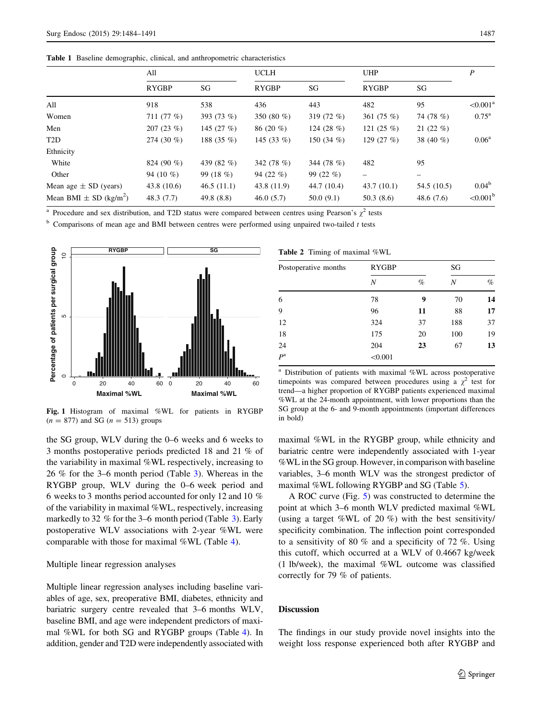<span id="page-3-0"></span>Table 1 Baseline demographic, clinical, and anthropometric characteristics

|                                        | All           |              | UCLH         |               | <b>UHP</b>   |             | P                    |
|----------------------------------------|---------------|--------------|--------------|---------------|--------------|-------------|----------------------|
|                                        | <b>RYGBP</b>  | SG           | <b>RYGBP</b> | SG            | <b>RYGBP</b> | SG          |                      |
| All                                    | 918           | 538          | 436          | 443           | 482          | 95          | $\leq 0.001^{\rm a}$ |
| Women                                  | 711 $(77\%)$  | 393 (73 %)   | 350 (80 %)   | 319 $(72 \%)$ | 361 $(75\%)$ | 74 (78 %)   | $0.75^{\rm a}$       |
| Men                                    | 207(23%)      | 145 $(27%)$  | $86(20\%)$   | 124 $(28\%)$  | 121 $(25\%)$ | 21(22%)     |                      |
| T <sub>2</sub> D                       | 274 (30 $%$ ) | 188 $(35\%)$ | 145 $(33\%)$ | 150 $(34\%)$  | 129 $(27%)$  | 38 $(40\%$  | 0.06 <sup>a</sup>    |
| Ethnicity                              |               |              |              |               |              |             |                      |
| White                                  | 824 (90 %)    | 439 (82 %)   | 342 (78 %)   | 344 (78 %)    | 482          | 95          |                      |
| Other                                  | 94 (10 %)     | 99 (18 %)    | 94 $(22 \%)$ | 99 $(22 \%)$  |              |             |                      |
| Mean age $\pm$ SD (years)              | 43.8 (10.6)   | 46.5(11.1)   | 43.8 (11.9)  | 44.7 (10.4)   | 43.7(10.1)   | 54.5 (10.5) | 0.04 <sup>b</sup>    |
| Mean BMI $\pm$ SD (kg/m <sup>2</sup> ) | 48.3(7.7)     | 49.8 $(8.8)$ | 46.0(5.7)    | 50.0(9.1)     | 50.3(8.6)    | 48.6(7.6)   | $\leq 0.001^{\rm b}$ |

Procedure and sex distribution, and T2D status were compared between centres using Pearson's  $\chi^2$  tests

 $<sup>b</sup>$  Comparisons of mean age and BMI between centres were performed using unpaired two-tailed t tests</sup>



Fig. 1 Histogram of maximal %WL for patients in RYGBP  $(n = 877)$  and SG  $(n = 513)$  groups

the SG group, WLV during the 0–6 weeks and 6 weeks to 3 months postoperative periods predicted 18 and 21 % of the variability in maximal %WL respectively, increasing to 26 % for the 3–6 month period (Table [3\)](#page-4-0). Whereas in the RYGBP group, WLV during the 0–6 week period and 6 weeks to 3 months period accounted for only 12 and 10 % of the variability in maximal %WL, respectively, increasing markedly to 32 % for the 3–6 month period (Table [3\)](#page-4-0). Early postoperative WLV associations with 2-year %WL were comparable with those for maximal %WL (Table [4\)](#page-5-0).

#### Multiple linear regression analyses

Multiple linear regression analyses including baseline variables of age, sex, preoperative BMI, diabetes, ethnicity and bariatric surgery centre revealed that 3–6 months WLV, baseline BMI, and age were independent predictors of maximal %WL for both SG and RYGBP groups (Table [4](#page-5-0)). In addition, gender and T2D were independently associated with

Table 2 Timing of maximal %WL

| Postoperative months | <b>RYGBP</b> |    | SG  |      |
|----------------------|--------------|----|-----|------|
|                      | Ν            | %  | N   | $\%$ |
| 6                    | 78           | 9  | 70  | 14   |
| 9                    | 96           | 11 | 88  | 17   |
| 12                   | 324          | 37 | 188 | 37   |
| 18                   | 175          | 20 | 100 | 19   |
| 24                   | 204          | 23 | 67  | 13   |
| $P^{\rm a}$          | < 0.001      |    |     |      |

Distribution of patients with maximal %WL across postoperative timepoints was compared between procedures using a  $\chi^2$  test for trend—a higher proportion of RYGBP patients experienced maximal %WL at the 24-month appointment, with lower proportions than the SG group at the 6- and 9-month appointments (important differences in bold)

maximal %WL in the RYGBP group, while ethnicity and bariatric centre were independently associated with 1-year %WL in the SG group. However, in comparison with baseline variables, 3–6 month WLV was the strongest predictor of maximal %WL following RYGBP and SG (Table [5](#page-5-0)).

A ROC curve (Fig. [5\)](#page-5-0) was constructed to determine the point at which 3–6 month WLV predicted maximal %WL (using a target %WL of 20 %) with the best sensitivity/ specificity combination. The inflection point corresponded to a sensitivity of 80 % and a specificity of 72 %. Using this cutoff, which occurred at a WLV of 0.4667 kg/week (1 lb/week), the maximal %WL outcome was classified correctly for 79 % of patients.

# Discussion

The findings in our study provide novel insights into the weight loss response experienced both after RYGBP and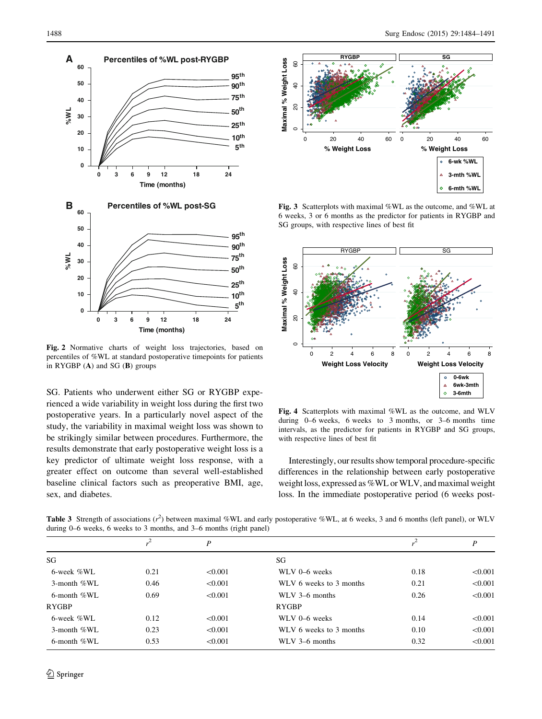<span id="page-4-0"></span>

Fig. 2 Normative charts of weight loss trajectories, based on percentiles of %WL at standard postoperative timepoints for patients in RYGBP  $(A)$  and SG  $(B)$  groups

SG. Patients who underwent either SG or RYGBP experienced a wide variability in weight loss during the first two postoperative years. In a particularly novel aspect of the study, the variability in maximal weight loss was shown to be strikingly similar between procedures. Furthermore, the results demonstrate that early postoperative weight loss is a key predictor of ultimate weight loss response, with a greater effect on outcome than several well-established baseline clinical factors such as preoperative BMI, age, sex, and diabetes.



Fig. 3 Scatterplots with maximal %WL as the outcome, and %WL at 6 weeks, 3 or 6 months as the predictor for patients in RYGBP and SG groups, with respective lines of best fit



Fig. 4 Scatterplots with maximal %WL as the outcome, and WLV during 0–6 weeks, 6 weeks to 3 months, or 3–6 months time intervals, as the predictor for patients in RYGBP and SG groups, with respective lines of best fit

Interestingly, our results show temporal procedure-specific differences in the relationship between early postoperative weight loss, expressed as %WL or WLV, and maximal weight loss. In the immediate postoperative period (6 weeks post-

Table 3 Strength of associations  $(r^2)$  between maximal %WL and early postoperative %WL, at 6 weeks, 3 and 6 months (left panel), or WLV during 0–6 weeks, 6 weeks to 3 months, and 3–6 months (right panel)

|                    |      | P       |                         |      | P       |
|--------------------|------|---------|-------------------------|------|---------|
| SG                 |      |         | SG                      |      |         |
| 6-week $\%$ WL     | 0.21 | < 0.001 | WLV 0–6 weeks           | 0.18 | < 0.001 |
| $3$ -month %WL     | 0.46 | < 0.001 | WLV 6 weeks to 3 months | 0.21 | < 0.001 |
| $6$ -month $\%$ WL | 0.69 | < 0.001 | $WL V$ 3–6 months       | 0.26 | < 0.001 |
| <b>RYGBP</b>       |      |         | <b>RYGBP</b>            |      |         |
| 6-week $\%$ WL     | 0.12 | < 0.001 | WLV 0–6 weeks           | 0.14 | < 0.001 |
| 3-month $\%$ WL    | 0.23 | < 0.001 | WLV 6 weeks to 3 months | 0.10 | < 0.001 |
| 6-month $\%$ WL    | 0.53 | < 0.001 | $WLV$ 3–6 months        | 0.32 | < 0.001 |
|                    |      |         |                         |      |         |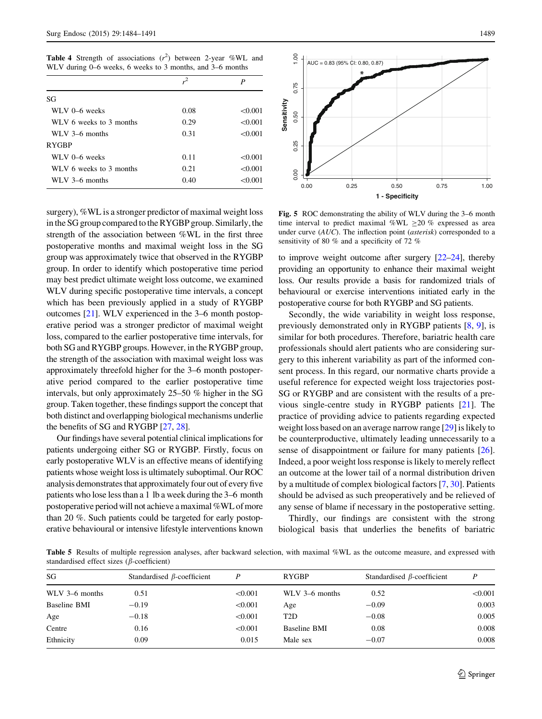<span id="page-5-0"></span>**Table 4** Strength of associations  $(r^2)$  between 2-year %WL and WLV during 0–6 weeks, 6 weeks to 3 months, and 3–6 months

|                         |      | P       |
|-------------------------|------|---------|
| SG                      |      |         |
| WLV 0-6 weeks           | 0.08 | < 0.001 |
| WLV 6 weeks to 3 months | 0.29 | < 0.001 |
| $WLV$ 3–6 months        | 0.31 | < 0.001 |
| <b>RYGBP</b>            |      |         |
| WLV 0-6 weeks           | 0.11 | < 0.001 |
| WLV 6 weeks to 3 months | 0.21 | < 0.001 |
| $WLV$ 3–6 months        | 0.40 | < 0.001 |
|                         |      |         |

surgery), %WL is a stronger predictor of maximal weight loss in the SG group compared to the RYGBP group. Similarly, the strength of the association between %WL in the first three postoperative months and maximal weight loss in the SG group was approximately twice that observed in the RYGBP group. In order to identify which postoperative time period may best predict ultimate weight loss outcome, we examined WLV during specific postoperative time intervals, a concept which has been previously applied in a study of RYGBP outcomes [[21](#page-7-0)]. WLV experienced in the 3–6 month postoperative period was a stronger predictor of maximal weight loss, compared to the earlier postoperative time intervals, for both SG and RYGBP groups. However, in the RYGBP group, the strength of the association with maximal weight loss was approximately threefold higher for the 3–6 month postoperative period compared to the earlier postoperative time intervals, but only approximately 25–50 % higher in the SG group. Taken together, these findings support the concept that both distinct and overlapping biological mechanisms underlie the benefits of SG and RYGBP [\[27,](#page-7-0) [28](#page-7-0)]. **Ethnicity 1.00** of the sex -0.01 of the sex -0.01 New York 1.00 o.01 New York 1.00 o.01 New York 1.00 O.01 New York 1.00 O.01 New York 1.00 O.01 New York 1.00 O.01 New York 1.00 O.01 New York 1.00 O.01 New York 1.00 O.01

Our findings have several potential clinical implications for patients undergoing either SG or RYGBP. Firstly, focus on early postoperative WLV is an effective means of identifying patients whose weight loss is ultimately suboptimal. Our ROC analysis demonstrates that approximately four out of every five patients who lose less than a 1 lb a week during the 3–6 month postoperative period will not achieve a maximal %WL of more than 20 %. Such patients could be targeted for early postoperative behavioural or intensive lifestyle interventions known



Fig. 5 ROC demonstrating the ability of WLV during the 3–6 month time interval to predict maximal %WL  $\geq$ 20 % expressed as area under curve (AUC). The inflection point (asterisk) corresponded to a sensitivity of 80 % and a specificity of 72 %

to improve weight outcome after surgery  $[22-24]$ , thereby providing an opportunity to enhance their maximal weight loss. Our results provide a basis for randomized trials of behavioural or exercise interventions initiated early in the postoperative course for both RYGBP and SG patients.

Secondly, the wide variability in weight loss response, previously demonstrated only in RYGBP patients [\[8](#page-6-0), [9\]](#page-6-0), is similar for both procedures. Therefore, bariatric health care professionals should alert patients who are considering surgery to this inherent variability as part of the informed consent process. In this regard, our normative charts provide a useful reference for expected weight loss trajectories post-SG or RYGBP and are consistent with the results of a previous single-centre study in RYGBP patients [[21\]](#page-7-0). The practice of providing advice to patients regarding expected weight loss based on an average narrow range [[29\]](#page-7-0) is likely to be counterproductive, ultimately leading unnecessarily to a sense of disappointment or failure for many patients [\[26](#page-7-0)]. Indeed, a poor weight loss response is likely to merely reflect an outcome at the lower tail of a normal distribution driven by a multitude of complex biological factors [[7,](#page-6-0) [30\]](#page-7-0). Patients should be advised as such preoperatively and be relieved of any sense of blame if necessary in the postoperative setting.

Thirdly, our findings are consistent with the strong biological basis that underlies the benefits of bariatric

Table 5 Results of multiple regression analyses, after backward selection, with maximal %WL as the outcome measure, and expressed with standardised effect sizes ( $\beta$ -coefficient)

| SG                  | Standardised $\beta$ -coefficient | P       | RYGBP            | Standardised $\beta$ -coefficient |         |
|---------------------|-----------------------------------|---------|------------------|-----------------------------------|---------|
| WLV 3–6 months      | 0.51                              | < 0.001 | WLV 3–6 months   | 0.52                              | < 0.001 |
| <b>Baseline BMI</b> | $-0.19$                           | < 0.001 | Age              | $-0.09$                           | 0.003   |
| Age                 | $-0.18$                           | < 0.001 | T <sub>2</sub> D | $-0.08$                           | 0.005   |
| Centre              | 0.16                              | < 0.001 | Baseline BMI     | 0.08                              | 0.008   |
| Ethnicity           | 0.09                              | 0.015   | Male sex         | $-0.07$                           | 0.008   |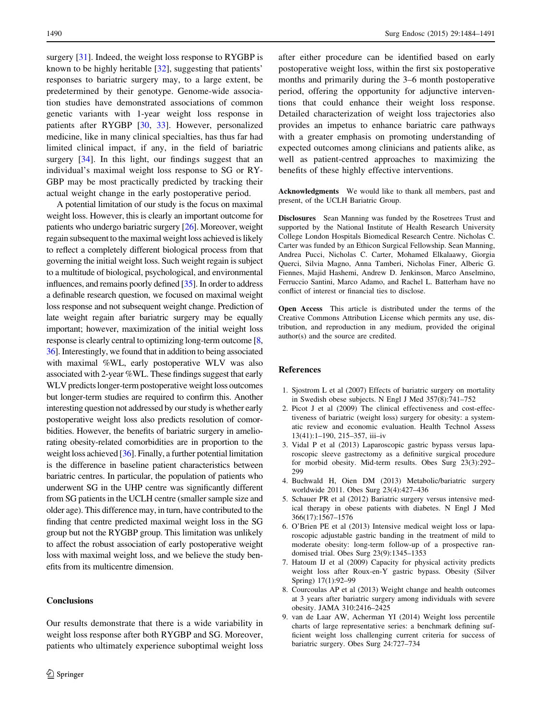<span id="page-6-0"></span>surgery [[31\]](#page-7-0). Indeed, the weight loss response to RYGBP is known to be highly heritable [[32\]](#page-7-0), suggesting that patients' responses to bariatric surgery may, to a large extent, be predetermined by their genotype. Genome-wide association studies have demonstrated associations of common genetic variants with 1-year weight loss response in patients after RYGBP [\[30](#page-7-0), [33](#page-7-0)]. However, personalized medicine, like in many clinical specialties, has thus far had limited clinical impact, if any, in the field of bariatric surgery [\[34](#page-7-0)]. In this light, our findings suggest that an individual's maximal weight loss response to SG or RY-GBP may be most practically predicted by tracking their actual weight change in the early postoperative period.

A potential limitation of our study is the focus on maximal weight loss. However, this is clearly an important outcome for patients who undergo bariatric surgery [\[26\]](#page-7-0). Moreover, weight regain subsequent to the maximal weight loss achieved is likely to reflect a completely different biological process from that governing the initial weight loss. Such weight regain is subject to a multitude of biological, psychological, and environmental influences, and remains poorly defined [\[35\]](#page-7-0). In order to address a definable research question, we focused on maximal weight loss response and not subsequent weight change. Prediction of late weight regain after bariatric surgery may be equally important; however, maximization of the initial weight loss response is clearly central to optimizing long-term outcome [8, [36\]](#page-7-0). Interestingly, we found that in addition to being associated with maximal %WL, early postoperative WLV was also associated with 2-year %WL. These findings suggest that early WLV predicts longer-term postoperative weight loss outcomes but longer-term studies are required to confirm this. Another interesting question not addressed by our study is whether early postoperative weight loss also predicts resolution of comorbidities. However, the benefits of bariatric surgery in ameliorating obesity-related comorbidities are in proportion to the weight loss achieved [[36](#page-7-0)]. Finally, a further potential limitation is the difference in baseline patient characteristics between bariatric centres. In particular, the population of patients who underwent SG in the UHP centre was significantly different from SG patients in the UCLH centre (smaller sample size and older age). This difference may, in turn, have contributed to the finding that centre predicted maximal weight loss in the SG group but not the RYGBP group. This limitation was unlikely to affect the robust association of early postoperative weight loss with maximal weight loss, and we believe the study benefits from its multicentre dimension.

# **Conclusions**

Our results demonstrate that there is a wide variability in weight loss response after both RYGBP and SG. Moreover, patients who ultimately experience suboptimal weight loss

after either procedure can be identified based on early postoperative weight loss, within the first six postoperative months and primarily during the 3–6 month postoperative period, offering the opportunity for adjunctive interventions that could enhance their weight loss response. Detailed characterization of weight loss trajectories also provides an impetus to enhance bariatric care pathways with a greater emphasis on promoting understanding of expected outcomes among clinicians and patients alike, as well as patient-centred approaches to maximizing the benefits of these highly effective interventions.

Acknowledgments We would like to thank all members, past and present, of the UCLH Bariatric Group.

Disclosures Sean Manning was funded by the Rosetrees Trust and supported by the National Institute of Health Research University College London Hospitals Biomedical Research Centre. Nicholas C. Carter was funded by an Ethicon Surgical Fellowship. Sean Manning, Andrea Pucci, Nicholas C. Carter, Mohamed Elkalaawy, Giorgia Querci, Silvia Magno, Anna Tamberi, Nicholas Finer, Alberic G. Fiennes, Majid Hashemi, Andrew D. Jenkinson, Marco Anselmino, Ferruccio Santini, Marco Adamo, and Rachel L. Batterham have no conflict of interest or financial ties to disclose.

Open Access This article is distributed under the terms of the Creative Commons Attribution License which permits any use, distribution, and reproduction in any medium, provided the original author(s) and the source are credited.

## References

- 1. Sjostrom L et al (2007) Effects of bariatric surgery on mortality in Swedish obese subjects. N Engl J Med 357(8):741–752
- 2. Picot J et al (2009) The clinical effectiveness and cost-effectiveness of bariatric (weight loss) surgery for obesity: a systematic review and economic evaluation. Health Technol Assess 13(41):1–190, 215–357, iii–iv
- 3. Vidal P et al (2013) Laparoscopic gastric bypass versus laparoscopic sleeve gastrectomy as a definitive surgical procedure for morbid obesity. Mid-term results. Obes Surg 23(3):292– 299
- 4. Buchwald H, Oien DM (2013) Metabolic/bariatric surgery worldwide 2011. Obes Surg 23(4):427–436
- 5. Schauer PR et al (2012) Bariatric surgery versus intensive medical therapy in obese patients with diabetes. N Engl J Med 366(17):1567–1576
- 6. O'Brien PE et al (2013) Intensive medical weight loss or laparoscopic adjustable gastric banding in the treatment of mild to moderate obesity: long-term follow-up of a prospective randomised trial. Obes Surg 23(9):1345–1353
- 7. Hatoum IJ et al (2009) Capacity for physical activity predicts weight loss after Roux-en-Y gastric bypass. Obesity (Silver Spring) 17(1):92–99
- 8. Courcoulas AP et al (2013) Weight change and health outcomes at 3 years after bariatric surgery among individuals with severe obesity. JAMA 310:2416–2425
- 9. van de Laar AW, Acherman YI (2014) Weight loss percentile charts of large representative series: a benchmark defining sufficient weight loss challenging current criteria for success of bariatric surgery. Obes Surg 24:727–734